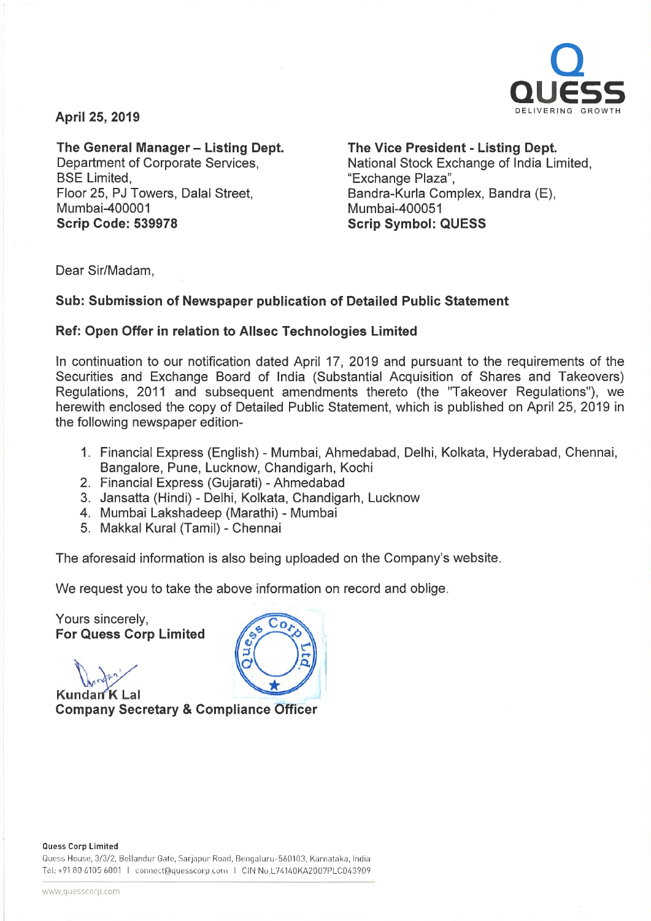

April 25, 2019

# The General Manager - Listing Dept. Department of Corporate Services, **BSE Limited.** Floor 25, PJ Towers, Dalal Street, Mumbai-400001

# The Vice President - Listing Dept.

National Stock Exchange of India Limited, "Exchange Plaza", Bandra-Kurla Complex, Sandra (E), Mumbai-400051 Scrip Symbol: QUESS

Dear Sir/Madam,

Scrip Code: 539978

# Sub: Submission of Newspaper publication of Detailed Public Statement

# Ref: Open Offer in relation to Allsec Technologies Limited

In continuation to our notification dated April 17, 2019 and pursuant to the requirements of the Securities and Exchange Board of India (Substantial Acquisition of Shares and Takeovers) Regulations, 2011 and subsequent amendments thereto (the "Takeover Regulations"), we herewith enclosed the copy of Detailed Public Statement, which is published on April 25, 2019 in the following newspaper edition-

- 1. Financial Express (English) Mumbai, Ahmedabad, Delhi, Kolkata, Hyderabad, Chennai, Bangalore, Pune, Lucknow, Chandigarh, Kochi
- 2. Financial Express (Gujarati) Ahmedabad
- 3. Jansatta (Hindi) Delhi, Kolkata, Chandigarh, Lucknow
- 4. Mumbai Lakshadeep (Marathi) Mumbai
- 5. Makkal Kural (Tamil) Chennai

The aforesaid information is also being uploaded on the Company's website.

We request you to take the above information on record and oblige.

Yours sincerely, For Quess Corp Limited

Kundan<sup>K</sup> Lal Company Secretary & Compliance Officer

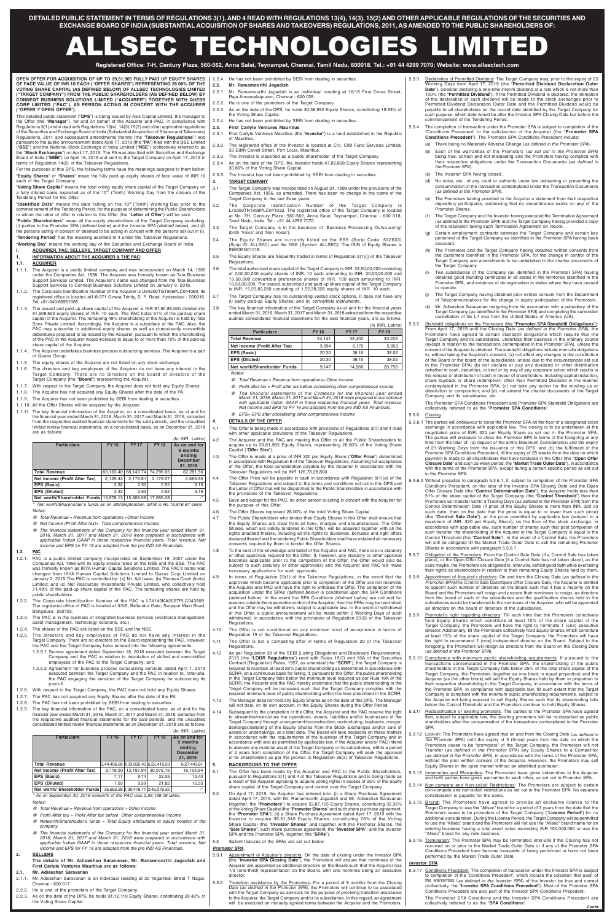**DETAILED PUBLIC STATEMENT IN TERMS OF REGULATIONS 3(1), AND 4 READ WITH REGULATIONS 13(4), 14(3), 15(2) AND OTHER APPLICABLE REGULATIONS OF THE SECURITIES AND EXCHANGE BOARD OF INDIA (SUBSTANTIAL ACQUISITION OF SHARES AND TAKEOVERS) REGULATIONS, 2011, AS AMENDED TO THE PUBLIC SHAREHOLDERS OF:** 

# ALLSEC TECHNOLOGIES LIMITED

**Registered Office: 7-H, Century Plaza, 560-562, Anna Salai, Teynampet, Chennai, Tamil Nadu, 600018. Tel.: +91 44 4299 7070; Website: www.allsectech.com** 

#### **OPEN OFFER FOR ACQUISITION OF UP TO 39,61,965 FULLY PAID UP EQUITY SHARES OF FACE VALUE OF INR 10 EACH ("OFFER SHARES") REPRESENTING 26.00% OF THE VOTING SHARE CAPITAL (AS DEFINED BELOW) OF ALLSEC TECHNOLOGIES LIMITED ("TARGET COMPANY") FROM THE PUBLIC SHAREHOLDERS (AS DEFINED BELOW) BY CONNEQT BUSINESS SOLUTIONS LIMITED ("ACQUIRER") TOGETHER WITH QUESS CORP LIMITED ("PAC"), AS PERSON ACTING IN CONCERT WITH THE ACQUIRER ("OFFER"/"OPEN OFFER**"**).**

This detailed public statement ("**DPS**") is being issued by Axis Capital Limited, the manager to the Offer (the "**Manager**"), for and on behalf of the Acquirer and PAC, in compliance with Regulations 3(1) and 4 read with Regulations 13(4), 14(3),15(2) and other applicable regulations of the Securities and Exchange Board of India (Substantial Acquisition of Shares and Takeovers) Regulations, 2011 and subsequent amendments thereto (the "**Takeover Regulations**") and pursuant to the public announcement dated April 17, 2019 (the "**PA**") filed with the BSE Limited ("**BSE**") and the National Stock Exchange of India Limited ("**NSE**") (collectively referred to as the "**Stock Exchanges**") on April 17, 2019. The PA was also filed with Securities and Exchange Board of India ("**SEBI**") on April 18, 2019 and sent to the Target Company on April 17, 2019 in terms of Regulation 14(2) of the Takeover Regulations.

For the purposes of this DPS, the following terms have the meanings assigned to them below: "**Equity Shares**" or "**Shares**" mean the fully paid-up equity shares of face value of INR 10 each of the Target Company.

"**Voting Share Capital**" means the total voting equity share capital of the Target Company on a fully diluted basis expected as of the 10<sup>th</sup> (Tenth) Working Day from the closure of the Tendering Period for the Offer.

"**Identified Date**" means the date falling on the 10th (Tenth) Working Day prior to the commencement of the Tendering Period, for the purpose of determining the Public Shareholders to whom the letter of offer in relation to this Offer (the "**Letter of Offer**") will be sent.

"**Public Shareholders**" mean all the equity shareholders of the Target Company excluding: (i) parties to the Promoter SPA (defined below) and the Investor SPA (defined below); and (ii) the persons acting in concert or deemed to be acting in concert with the persons set out in (i). "**Tendering Period**" has the meaning ascribed to it under the Takeover Regulations.

"**Working Day**" means the working day of the Securities and Exchange Board of India. **I. ACQUIRER, PAC, SELLERS, TARGET COMPANY AND OFFER** 

- 
- **1. INFORMATION ABOUT THE ACQUIRER & THE PAC:**
- **1.1. ACQUIRER**
- 1.1.1. The Acquirer is a public limited company and was incorporated on March 14, 1995 under the Companies Act, 1956. The Acquirer was formerly known as Tata Business Support Services Limited. The Acquirer's name was changed from the Tata Business Support Services to Conneqt Business Solutions Limited on January 9, 2018.
- 1.1.2. The Corporate Identification Number of the Acquirer is U64200TG1995PLC044060. Its registered office is located at1-8-371 Gowra Trinity, S. P. Road, Hyderabad - 500016. Tel: +91-040-66951085.
- 1.1.3. The issued and paid up share capital of the Acquirer is INR 91,50,85,020 divided into 91,508,502 equity shares of INR. 10 each. The PAC holds 51% of the paid-up share capital of the Acquirer. The remaining 49% shareholding of the Acquirer is held by Tata Sons Private Limited. Accordingly, the Acquirer is a subsidiary of the PAC. Also, the PAC may subscribe to additional equity shares as well as compulsorily convertible debentures proposed to be issued by the Acquirer, pursuant to which the shareholding of the PAC in the Acquirer would increase to equal to or more than 70% of the paid-up share capital of the Acquirer.
- 1.1.4. The Acquirer undertakes business process outsourcing services. The Acquirer is a part of Quess Group.
- 1.1.5. The equity shares of the Acquirer are not listed on any stock exchange.
- 1.1.6. The directors and key employees of the Acquirer do not have any interest in the Target Company. There are no directors on the board of directors of the Target Company (the "**Board**") representing the Acquirer.
- 1.1.7. With respect to the Target Company, the Acquirer does not hold any Equity Shares.
- 1.1.8. The Acquirer has not acquired any Equity Shares after the date of the PA.
- 1.1.9. The Acquirer has not been prohibited by SEBI from dealing in securities.
- 1.1.10. All the Offer Shares will be acquired by the Acquirer.
- 1.1.11. The key financial information of the Acquirer, on a consolidated basis, as at and for the financial year ended March 31, 2016, March 31, 2017 and March 31, 2018, extracted from the respective audited financial statements for the said periods, and the unaudited limited review financial statements, on a consolidated basis, as on December 31, 2018 are as follows:

\* As on September 30, 2018 networth of the PAC was 2,59,138.08 lakhs. **Notes** 

|                                                           |             |             |             | (In INR. Lakhs)                                                    |
|-----------------------------------------------------------|-------------|-------------|-------------|--------------------------------------------------------------------|
| <b>Particulars</b>                                        | <b>FY16</b> | <b>FY17</b> | <b>FY18</b> | As on and for<br>9 months<br>ending<br><b>December</b><br>31, 2018 |
| <b>Total Revenue</b>                                      | 63,163.40   | 68,149.74   | 74,296.05   | 62,281.56                                                          |
| Net Income (Profit After Tax)                             | 2,125.43    | 2,179.81    | 2,179.07    | 2,863.93                                                           |
| EPS (Basic)                                               | 2.32        | 2.53        | 2.52        | 3.19                                                               |
| EPS (Diluted)                                             | 2.32        | 2.53        | 2.52        | 3.19                                                               |
| Net worth/Shareholder Funds 13,978.13 15,806.58 17,655.28 |             |             |             | $\cdot$ *                                                          |

\* Net worth/Shareholder's funds as on 30thSeptember, 2018 is Rs.19,576.67 lakhs Notes:

- @ Total Revenue = Revenue from operations +Other income
- @ Net Income (Profit After tax)= Total comprehensive Income
- @ The financial statements of the Company for the financial year ended March 31, 2016, March 31, 2017 and March 31, 2018 were prepared in accordance with applicable Indian GAAP in those respective financial years. Total revenue, Net Income and EPS for FY 16 are adopted from the pre IND AS Financials.
- **1.2. PAC**
- 1.2.1. PAC is a public limited company incorporated on September 19, 2007 under the Companies Act, 1956 with its equity shares listed on the NSE and the BSE. The PAC was formerly known as IKYA Human Capital Solutions Limited. The PAC's name was
- 2.2.4. He has not been prohibited by SEBI from dealing in securities
- **2.2. Mr. Ramamoorthi Jagadish** 
	-
- 2.2.1. Mr. Ramamoorthi Jagadish is an individual residing at 16/18 First Cross Street, Raja Annamalaipuram, Chennai - 600 028.
- 2.2.2. He is one of the promoters of the Target Company.
- 2.2.3. As on the date of the DPS, he holds 30,36,952 Equity Shares, constituting 19.93% of the Voting Share Capital.
- 2.2.4. He has not been prohibited by SEBI from dealing in securities.
- **2.3. First Carlyle Ventures Mauritius**
- 2.3.1. First Carlyle Ventures Mauritius (the "**Investor**") is a fund established in the Republic of Mauritius.
- 2.3.2. The registered office of the Investor is located at C/o. CIM Fund Services Limited, 33 Edith Cavell Street, Port Louis, Mauritius.
- 2.3.3. The Investor is classified as a public shareholder of the Target Company.
- 2.3.4. As on the date of the DPS, the Investor holds 47,02,858 Equity Shares representing 30.86% of the Voting Share Capital.
- 2.3.5. The Investor has not been prohibited by SEBI from dealing in securities.
- **3. TARGET COMPANY**
- 3.1 The Target Company was incorporated on August 24, 1998 under the provisions of the Companies Act, 1956, as amended. There has been no change in the name of the Target Company in the last three years.
- 3.2 The Corporate Identification Number of the Target Company is L72300TN1998PLC041033. The registered office of the Target Company is located at No. 7H, Century Plaza, 560-562, Anna Salai, Teynampet, Chennai - 600 018, Tamil Nadu, India. Tel.: +91 44 4299 7070.
- 3.3 The Target Company is in the business of 'Business Processing Outsourcing' (both 'Voice' and 'Non Voice').
- 3.4 The Equity Shares are currently listed on the BSE (Scrip Code: 532633) (Scrip ID: ALLSEC) and the NSE (Symbol: ALLSEC). The ISIN of Equity Shares is INE835G01018.
- 3.5 The Equity Shares are frequently traded in terms of Regulation 2(1)(j) of the Takeover Regulations.
- 3.6 The total authorized share capital of the Target Company is INR. 33,50,00,000 consisting of 2,00,00,000 equity shares of INR. 10 each amounting to INR. 20,00,00,000 and 13,50,000 convertible preference shares of INR. 100 each amounting to INR. 13,50,00,000. The issued, subscribed and paid-up share capital of the Target Company is INR. 15,23,83,260 consisting of 1,52,38,326 equity shares of INR. 10 each.
- 3.7 The Target Company has no outstanding vested stock options. It does not have any (i) partly paid-up Equity Shares; and (ii) convertible instruments.
- 3.8 The key financial information of the Target Company as at and for the financial years ended March 31, 2016, March 31, 2017 and March 31, 2018 extracted from the respective audited consolidated financial statements for the said financial years, are as follows:  $(\ln |N|)$  Lakhs

- changed from IKYA Human Capital Solutions Limited to Quess Corp Limited on January 2, 2015 The PAC is controlled by: (a) Mr. Ajit Isaac; (b) Thomas Cook (India) Limited; and (c) Net Resources Investments Private Limited, who collectively hold 71.43% of the paid-up share capital of the PAC. The remaining shares are held by public shareholders.
- 1.2.2. The Corporate Identification Number of the PAC is L74140KA2007PLC043909. The registered office of PAC is located at 3/3/2, Bellandur Gate, Sarjapur Main Road, Bengaluru - 560103.
- 1.2.3. The PAC is in the business of integrated business services (workforce management asset management, technology solutions, etc.).
- 1.2.4. The shares of the PAC are listed on the BSE and the NSE.
- 1.2.5. The directors and key employees of PAC do not have any interest in the Target Company. There are no directors on the Board representing the PAC. However, the PAC and the Target Company have entered into the following agreements:
	- 1.2.5.1 Service agreement dated September 18, 2018 executed between the Target Company and the PAC in relation to deputation of skilled and semi-skilled employees of the PAC to the Target Company; and
	- 1.2.5.2 Agreement for business process outsourcing services dated April 1, 2015 executed between the Target Company and the PAC in relation to, *inter-alia*,<br>the PAC engaging the services of the Target Company for outsourcing its payroll
- 1.2.6. With respect to the Target Company, the PAC does not hold any Equity Shares.
- 1.2.7. The PAC has not acquired any Equity Shares after the date of the PA.
- 1.2.8. The PAC has not been prohibited by SEBI from dealing in securities.
- 1.2.9. The key financial information of the PAC, on a consolidated basis, as at and for the financial year ended March 31, 2016, March 31, 2017 and March 31, 2018, extracted from the respective audited financial statements for the said periods, and the unaudited consolidated limited review financial statements as on December 31, 2018 are as follows:

|                               |             |             |                                     | (In INR. Lakhs)                                                    |
|-------------------------------|-------------|-------------|-------------------------------------|--------------------------------------------------------------------|
| <b>Particulars</b>            | <b>FY16</b> | <b>FY17</b> | <b>FY18</b>                         | As on and for<br>9 months<br>ending<br><b>December</b><br>31, 2018 |
| <b>Total Revenue</b>          |             |             | 3,44,406.58 4,33,035.43 6,22,418.23 | 6,27,443.61                                                        |
| Net Income (Profit After Tax) | 8.118.00    | 12,187.94   | 30.976.19                           | 18,104.84                                                          |
| EPS (Basic)                   | 7.17        | 9.74        | 22.05                               | 12.40                                                              |
| EPS (Diluted)                 | 7.03        | 9.59        | 21.82                               | 12.33                                                              |
| Net worth/ Shareholder Funds  |             |             | 35,662.28 1,30,476.71 2,46,076.32   | $\cdot^*$                                                          |

@ Total Revenue = Revenue from operations + Other income

- @ Profit After tax = Profit After tax before Other comprehensive Income
- @ Networth/Shareholder's funds = Total Equity attributable to equity holders of the company.
- @ The financial statements of the Company for the financial year ended March 31, 2016, March 31, 2017 and March 31, 2018 were prepared in accordance with applicable Indian GAAP in those respective financial years. Total revenue, Net Income and EPS for FY 16 are adopted from the pre IND AS Financials
- **2. SELLERS**

# **The details of Mr. Adiseshan Saravanan, Mr. Ramamoorthi Jagadish and First Carlyle Ventures Mauritius are as follows:**

#### **2.1. Mr. Adiseshan Saravanan**

- 2.1.1. Mr. Adiseshan Saravanan is an individual residing at 20 Yogambal Street T Nagar, Chennai - 600 017
- 2.2.2. He is one of the promoters of the Target Company.
- 2.2.3. As on the date of the DPS, he holds 31,12,119 Equity Shares, constituting 20.42% of the Voting Share Capital.
- 5.3.1 Appointment of Acquirer's directors: On the date of closing under the Investor SPA (the "**Investor SPA Closing Date**"), the Promoters will ensure that nominees of the Acquirer are appointed as additional directors on the Board such that the Acquirer has 1/3 (one-third) representation on the Board, with one nominee being an executive director.
- 5.3.2 Transition assistance by the Promoters: For a period of 6 months from the Closing Date (*as defined in the Promoter SPA*), the Promoters will continue to be associated<br>with the Target Company as advisors for the purpose of providing transition assistance to the Acquirer, the Target Company and/or its subsidiaries. In this regard, an agreement will be executed on mutually agreed terms between the Acquirer and the Promoters.

|                               |             |             | (III IIVITI. LANIIS) |
|-------------------------------|-------------|-------------|----------------------|
| <b>Particulars</b>            | <b>FY16</b> | <b>FY17</b> | <b>FY 18</b>         |
| <b>Total Revenue</b>          | 24.141      | 32,402      | 33,223               |
| Net Income (Profit After Tax) | 3.094       | 6.172       | 5,953                |
| EPS (Basic)                   | 20.30       | 38.10       | 38.02                |
| EPS (Diluted)                 | 20.30       | 38.10       | 38.02                |
| Net worth/Shareholder Funds   | 9.147       | 14.960      | 20,753               |

Notes:

- @ Total Revenue = Revenue from operations+ Other income
- $@$  Profit after tax = Profit after tax before considering other comprehensive income
- @ The financial statements of the Company for the financial year ended March 31, 2016, March 31, 2017 and March 31, 2018 were prepared in accordance with applicable Indian GAAP in those respective financial years. Total revenue, Net Income and EPS for FY 16 are adopted from the pre IND AS Financials.
- @ EPS= EPS after considering other comprehensive Income

#### **4. DETAILS OF THE OFFER**

- 4.1 This Offer is being made in accordance with provisions of Regulations 3(1) and 4 read with other applicable provisions of the Takeover Regulations.
- 4.2 The Acquirer and the PAC are making this Offer to all the Public Shareholders to acquire up to 39,61,965 Equity Shares, representing 26.00% of the Voting Share Capital ("**Offer Size**").
- 4.3 The Offer is made at a price of INR 320 per Equity Share ("**Offer Price**") determined in accordance with Regulation 8 of the Takeover Regulations. Assuming full acceptance of the Offer, the total consideration payable by the Acquirer in accordance with the Takeover Regulations will be INR 126,78,28,800.
- 4.4 The Offer Price will be payable in cash in accordance with Regulation 9(1)(a) of the Takeover Regulations and subject to the terms and conditions set out in this DPS and the Letter of Offer that will be dispatched to the Public Shareholders in accordance with the provisions of the Takeover Regulations.
- 4.5 Save and except for the PAC, no other person is acting in concert with the Acquirer for the purpose of this Offer
- 4.6 The Offer Shares represent 26.00% of the total Voting Share Capital.
- 4.7 The Public Shareholders who tender their Equity Shares in this Offer shall ensure that the Equity Shares are clear from all liens, charges and encumbrances. The Offer Shares, which are validly tendered in this Offer, will be acquired together with all the rights attached thereto, including all the rights to dividends, bonuses and right offers declared thereof and the tendering Public Shareholders shall have obtained all necessary consents required by them to tender the Offer Shares.
- 4.8 To the best of the knowledge and belief of the Acquirer and PAC, there are no statutory or other approvals required for the Offer. If, however, any statutory or other approval becomes applicable prior to the completion of the Offer, the Offer would also be subject to such statutory or other approval(s) and the Acquirer and PAC will make necessary applications for such approvals.
- 4.9 In terms of Regulation 23(1) of the Takeover Regulations, in the event that the approvals which become applicable prior to completion of the Offer are not received, the Acquirer and PAC will have the right to withdraw the Offer. The completion of the acquisition under the SPAs (defined below) is conditional upon the SPA Conditions (defined below). In the event the SPA Conditions (defined below) are not met for reasons outside the reasonable control of the Acquirer, then the SPAs may be rescinded, and the Offer may be withdrawn, subject to applicable law. In the event of withdrawal of this Offer, a public announcement will be made within 2 Working Days of such withdrawal, in accordance with the provisions of Regulation 23(2) of the Takeover Regulations.
- 4.10 The Offer is not conditional on any minimum level of acceptance in terms of Regulation 19 of the Takeover Regulations.
- 4.11 The Offer is not a competing offer in terms of Regulation 20 of the Takeover Regulations.
- 4.12 As per Regulation 38 of the SEBI (Listing Obligations and Disclosure Requirements), 2015 (the "**LODR Regulations**") read with Rules 19(2) and 19A of the Securities Contract (Regulation) Rules, 1957, as amended (the "**SCRR**"), the Target Company is required to maintain at least 25% public shareholding as determined in accordance with SCRR, on a continuous basis for listing. If, pursuant to this Offer, the public shareholding in the Target Company falls below the minimum level required as per Rule 19A of the SCRR, the Acquirer and the PAC hereby undertake that the public shareholding in the Target Company will be increased such that the Target Company complies with the required minimum level of public shareholding within the time prescribed in the SCRR.
- 4.13 The Manager does not hold any Equity Shares as on the date of this DPS. The Manager will not deal, on its own account, in the Equity Shares during the Offer Period.
- 4.14 Subsequent to the completion of the Offer, the Acquirer and the PAC reserve the right to streamline/restructure the operations, assets, liabilities and/or businesses of the Target Company through arrangement/reconstruction, restructuring, buybacks, merger, demerger/delisting of the Equity Shares from the Stock Exchanges and/or sale of assets or undertakings, at a later date. The Board will take decisions on these matters in accordance with the requirements of the business of the Target Company and in accordance with and as permitted by applicable law. If the Acquirer and/or PAC intend to alienate any material asset of the Target Company or its subsidiaries, within a period of 2 years from completion of the Offer, the Target Company will seek the approval of its shareholders as per the proviso to Regulation 25(2) of Takeover Regulations.

### **5. BACKGROUND TO THE OFFER**

- 5.1 The Offer has been made by the Acquirer and PAC to the Public Shareholders, pursuant to Regulations 3(1) and 4 of the Takeover Regulations and is being made as a result of the Acquirer agreeing to acquire voting rights in excess of 25% of the equity share capital of the Target Company and control over the Target Company.
- 5.2 On April 17, 2019, the Acquirer has entered into: (i) a Share Purchase Agreement dated April 17, 2019, with Mr. Ramamoorthi Jagadish and Mr. Adiseshan Saravanan (together, the "**Promoters**") to acquire 53,87,155 Equity Shares, constituting 35.35% of the Voting Share Capital (the "**Promoter Shares**" and such share purchase agreement, the "**Promoter SPA**"); (ii) a Share Purchase Agreement dated April 17, 2019 with the Investor to acquire 39,61,940 Equity Shares, constituting 26% of the Voting Share Capital (the "**Investor Shares**" and together with the Promoter Shares, the "**Sale Shares**"; such share purchase agreement, the "**Investor SPA**"; and the Investor SPA and the Promoter SPA, together, the "**SPAs**").
- 5.3 Salient features of the SPAs are set out below:

#### **Promoter SPA**.

- 5.3.3 Declaration of Permitted Dividend: The Target Company may, prior to the expiry of 25 Working Days from April 17, 2019 (the "**Permitted Dividend Declaration Outer Date**"), consider declaring a one-time interim dividend at a rate which is not more than 100% (the "**Permitted Dividend**"). If the Permitted Dividend is declared, the intimation of the declaration of such dividend will be made to the stock exchanges prior to Permitted Dividend Declaration Outer Date and the Permitted Dividend would be payable to all shareholders on the record date identified by the Target Company for such purpose, which date would be after the Investor SPA Closing Date but before the commencement of the Tendering Period.
- 5.3.4 The completion of transaction under the Promoter SPA is subject to completion of the 'Conditions Precedent' to the satisfaction of the Acquirer (the "**Promoter SPA Conditions Precedent**"). The Promoter SPA Conditions Precedent include:
	- (a) There being no Materially Adverse Change (as defined in the Promoter SPA).
	- (b) Each of the warranties of the Promoters (as set out in the Promoter SPA) being true, correct and not misleading and the Promoters having complied with their respective obligations under the Transaction Documents (as defined in the Promoter SPA).
	- (c) The Investor SPA having closed.
	- (d) No order, etc., of any court or authority under law restraining or preventing the consummation of the transaction contemplated under the Transaction Documents (as defined in the Promoter SPA).
	- (e) The Promoters having provided to the Acquirer a statement from their respective depository participants, evidencing that no encumbrance exists on any of the Promoter Shares.
	- (f) The Target Company and the Investor having executed the Termination Agreement (as defined in the Promoter SPA) and the Target Company having provided a copy of the resolution taking such Termination Agreement on record.
	- (g) Certain employment contracts between the Target Company and certain key personnel of the Target Company as identified in the Promoter SPA having been executed.
	- (h) The Promoters and the Target Company having obtained written consents from the customers identified in the Promoter SPA, for the change in control of the Target Company and amendments to be undertaken to the charter documents of the Target Company.
	- Two subsidiaries of the Company (as identified in the Promoter SPA) having obtained good standing certificates in all states in the territories identified in the Promoter SPA, and evidence of de-registration in states where they have ceased to operate.
	- (j) The Target Company having obtained prior written consent from the Department of Telecommunications for the change in equity participation of the Promoters.
	- (k) Mr. Adiseshan Saravanan resigning from his association with a subsidiary of the Target Company (as identified in the Promoter SPA) and completing the surrender/ cancellation of his L1 visa from the United States of America (US).

5.3.5 Standstill obligations on the Promoters (the "**Promoter SPA Standstill Obligations**"): From April 17, 2019 until the Closing Date (as defined in the Promoter SPA), the Promoters have agreed to certain standstill obligations which require that the Target Company and its subsidiaries, undertake their business in the ordinary course (except in relation to the transactions contemplated in the Promoter SPA), unless the consent of the Acquirer is obtained. The standstill obligations include inter-alia obligations to, without taking the Acquirer's consent, (a) not effect any changes in the constitution of the Board or the board of the subsidiaries, unless due to the circumstances set out in the Promoter SPA; (b) not declare or pay any dividend or other distribution (whether in cash, securities, or kind or by way of any corporate action which results in the release or distribution of cash in favour of shareholders, including capital reduction, share buyback or share redemption) other than Permitted Dividend in the manner contemplated in the Promoter SPA; (c) not take any action for the winding up or dissolution or composition; and (d) not amend the charter documents of the Target Company and its subsidiaries, etc.

The Promoter SPA Conditions Precedent and Promoter SPA Standstill Obligations are collectively referred to as the "**Promoter SPA Conditions**".

#### 5.3.6 Closing:

- 5.3.6.1 The parties will endeavour to close the Promoter SPA on the floor of a designated stock exchange in accordance with applicable law. The closing is to be undertaken at the negotiated price of INR. 320 per Equity Share as set out in the Promoter SPA. The parties will endeavor to close the Promoter SPA in terms of the foregoing at any time from the later of: (a) deposit of the entire Maximum Consideration and the expiry of 21 Working Days from the issuance of this DPS; and (b) the fulfilment of the Promoter SPA Conditions Precedent, till the expiry of 25 weeks from the date on which payment is made to all shareholders that have tendered in the Offer (the "**Open Offer Closure Date**" and such 25 week period, the "**Market Trade Outer Date**"), in accordance with the terms of the Promoter SPA, except during a certain specific period as set out in the Promoter SPA.
- 5.3.6.2 Without prejudice to paragraph 5.3.6.1, if, subject to completion of the Promoter SPA Conditions Precedent, on the later of the Investor SPA Closing Date and the Open Offer Closure Date (the "**Control Determination Date**"), the Acquirer holds less than 51% of the share capital of the Target Company (the "**Control Threshold**") then the Promoters will transfer within 3 Trading Days (as defined in the Promoter SPA) from the Control Determination Date (if price of the Equity Shares is more than INR. 320 on such date, then on the date that the price is equal to or lower than such price) (the "**Control Sale Date**"), at the price permitted by applicable law (subject to a maximum of INR. 320 per Equity Share), on the floor of the stock exchange, in accordance with applicable law, such number of shares such that post completion of such transfer, the shareholding of the Acquirer in the Target Company is equal to the Control Threshold (the "**Control Sale**"). In the event of a Control Sale, the Promoters will still be obligated till the Market Trade Outer Date to sell the remaining Promoter Shares in accordance with paragraph 5.3.6.1.
- 5.3.7 Obligation of the Promoters: From the Control Sale Date (if a Control Sale has taken place), or the Open Offer Closure Date (if a Control Sale has not taken place), as the case maybe, the Promoters are obligated to, inter-alia, exhibit good faith while exercising their rights as shareholders in relation to their remaining Equity Shares held by them.

- 5.3.8 Appointment of Acquirer's directors: On and from the Closing Date (as defined in the Promoter SPA)/the Control Sale Date/Open Offer Closure Date, the Acquirer is entitled to appoint such number of directors on the Board such that it has a majority on the Board and the Promoters will resign and procure their nominees to resign, as directors from the board of each of the subsidiaries and the qualification shares held in the subsidiaries would be transferred to the nominees of the Acquirer, who will be appointed as directors on the board of directors of the subsidiaries.
- 5.3.9 Promoter's right regarding directors: Till such time that the Promoters collectively hold Equity Shares which constitute at least 10% of the share capital of the Target Company, the Promoters will have the right to nominate 1 (one) executive director. Additionally, till the Promoters collectively hold Equity Shares which constitute at least 15% of the share capital of the Target Company, the Promoters will have the right to recommend 1 (one) independent director on the Board. Subject to the foregoing, the Promoters will resign as directors from the Board on the Closing Date (as defined in the Promoter SPA).
- 5.3.10 Compliance with minimum public shareholding requirements: If pursuant to the transactions contemplated in the Promoter SPA, the shareholding of the public shareholders in the Target Company falls below 25% of the total share capital of the Target Company, the Promoters (together as one block in equal proportion) and the Acquirer (as the other block) will sell the Equity Shares held by them in proportion to their respective shareholding in the Target Company, in accordance with the terms of the Promoter SPA, in compliance with applicable law, till such extent that the Target Company is compliant with the minimum public shareholding requirements, subject to the Acquirer not being required to sell Equity Shares such that its shareholding falls below the Control Threshold and the Promoters continue to hold Equity Shares.
- 5.3.11 Reclassification of existing promoters: The parties to the Promoter SPA have agreed that, subject to applicable law, the existing promoters will be re-classified as public shareholders after the consummation of the transactions contemplated in the Promoter **SPA**
- 5.3.12 Lock-in: The Promoters have agreed that on and from the Closing Date (as defined in the Promoter SPA) until the expiry of 3 (three) years from the date on which the Promoters cease to be "promoters" of the Target Company, the Promoters will not Transfer (as defined in the Promoter SPA) any Equity Shares to a Competitor (as defined in the Promoter SPA), in accordance with the terms of the Promoter SPA, without the prior written consent of the Acquirer. However, the Promoters may sell Equity Shares in the open market without an identified purchaser.
- 5.3.13 Indemnities and Warranties: The Promoters have given indemnities to the Acquirer and both parties have given warranties to each other, as set out in Promoter SPA.
- 5.3.14 Non-compete and Non-solicit Restrictions: The Promoters are subject to certain non-compete and non-solicit restrictions as set out in the Promoter SPA. No separate consideration is payable for the same.
- 5.3.15 Brand: The Promoters have agreed to provide an exclusive license to the Target Company to use the "Allsec" brand for a period of 3 years from the date that the Promoters cease to be promoters of the Target Company ("**License Period**") for no additional consideration. During the License Period, the Target Company will be permitted to use the "Allsec" brand and the Promoters will not use the "Allsec" brand name for an existing business having a total asset value exceeding INR 100,000,000 or use the "Allsec" brand for any new business.
- 5.3.16 Termination: The Promoter SPA may be terminated inter-alia if the Closing has not occurred on or prior to the Market Trade Outer Date or if any of the Promoter SPA Conditions Precedent have become incapable of being performed or have not been performed by the Market Trade Outer Date.

## **Investor SPA**.

5.3.17 Conditions Precedent: The completion of transaction under the Investor SPA is subject to completion of the 'Conditions Precedent', which include the condition that each of the warranties (as defined in the Investor SPA) of the Investor be true and correct (collectively, the "**Investor SPA Conditions Precedent**"). Most of the Promoter SPA Conditions Precedent are also part of the Investor SPA Conditions Precedent.

The Promoter SPA Conditions and the Investor SPA Conditions Precedent are collectively referred to as the "**SPA Conditions**".